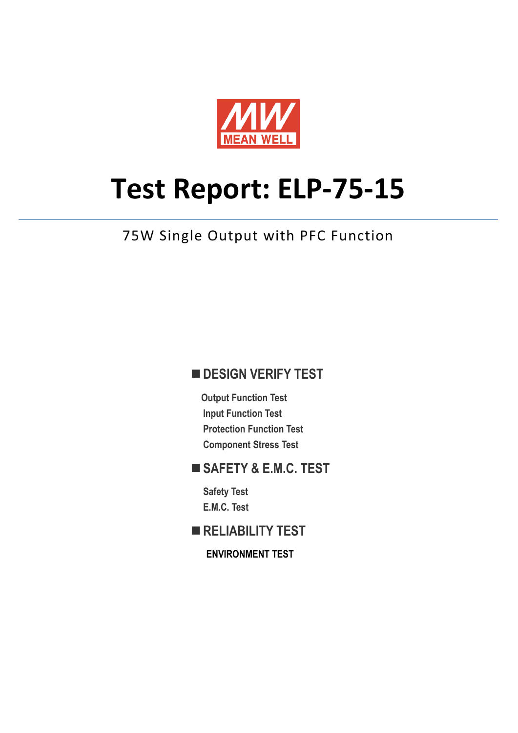

# **Test Report: ELP‐75‐15**

### 75W Single Output with PFC Function

### **DESIGN VERIFY TEST**

**Output Function Test Input Function Test Protection Function Test Component Stress Test** 

### **SAFETY & E.M.C. TEST**

**Safety Test E.M.C. Test** 

**RELIABILITY TEST** 

**ENVIRONMENT TEST**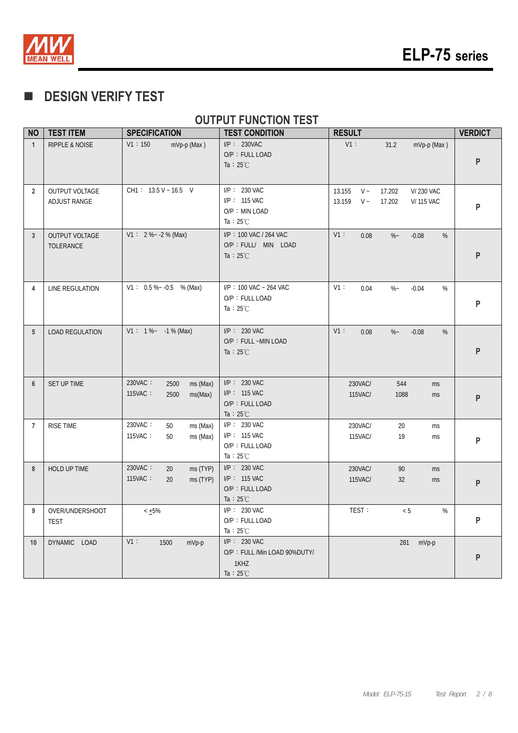

### **DESIGN VERIFY TEST**

### **OUTPUT FUNCTION TEST**

| <b>NO</b>       | <b>TEST ITEM</b>                      | <b>SPECIFICATION</b>                                      | <b>TEST CONDITION</b>                                                       | <b>RESULT</b>                                                                              | <b>VERDICT</b> |
|-----------------|---------------------------------------|-----------------------------------------------------------|-----------------------------------------------------------------------------|--------------------------------------------------------------------------------------------|----------------|
| $\mathbf{1}$    | <b>RIPPLE &amp; NOISE</b>             | V1:150<br>mVp-p (Max)                                     | $I/P$ : 230VAC<br>O/P: FULL LOAD<br>Ta : $25^{\circ}$ C                     | $V1$ :<br>31.2<br>mVp-p (Max)                                                              | P              |
| $\overline{2}$  | <b>OUTPUT VOLTAGE</b><br>ADJUST RANGE | $CH1: 13.5 V - 16.5 V$                                    | I/P: 230 VAC<br>I/P: 115 VAC<br>O/P: MIN LOAD<br>Ta : $25^{\circ}$ C        | 13.155<br>$V -$<br>17.202<br>V/230 VAC<br>$V \sim$<br>13.159<br>17.202<br><b>V/115 VAC</b> | P              |
| $\mathbf{3}$    | <b>OUTPUT VOLTAGE</b><br>TOLERANCE    | $V1: 2\%~2.2\%$ (Max)                                     | I/P: 100 VAC / 264 VAC<br>O/P : FULL/ MIN LOAD<br>Ta : $25^{\circ}$ C       | V1:<br>$\%$ ~<br>%<br>0.08<br>$-0.08$                                                      | P              |
| 4               | LINE REGULATION                       | $V1: 0.5\%~ 0.5$ % (Max)                                  | I/P: 100 VAC ~ 264 VAC<br>O/P: FULL LOAD<br>Ta : $25^{\circ}$ C             | V1:<br>$\%$ ~<br>0.04<br>$-0.04$<br>%                                                      | P              |
| $5\phantom{.0}$ | <b>LOAD REGULATION</b>                | $V1: 1\%~ -1\%$ (Max)                                     | $I/P: 230$ VAC<br>O/P: FULL ~MIN LOAD<br>Ta : $25^{\circ}$ C                | V1:<br>0.08<br>$\%$ ~<br>$-0.08$<br>%                                                      | P              |
| 6               | SET UP TIME                           | 230VAC:<br>2500<br>ms (Max)<br>115VAC:<br>ms(Max)<br>2500 | $I/P$ : 230 VAC<br>I/P: 115 VAC<br>O/P: FULL LOAD<br>Ta : $25^{\circ}$ C    | 230VAC/<br>544<br>ms<br>115VAC/<br>1088<br>ms                                              | P              |
| $\overline{7}$  | <b>RISE TIME</b>                      | 230VAC:<br>50<br>ms (Max)<br>115VAC:<br>ms (Max)<br>50    | $I/P$ : 230 VAC<br>$I/P$ : 115 VAC<br>O/P: FULL LOAD<br>Ta : $25^{\circ}$ C | 230VAC/<br>20<br>ms<br>115VAC/<br>19<br>ms                                                 | P              |
| 8               | HOLD UP TIME                          | 230VAC:<br>ms (TYP)<br>20<br>115VAC:<br>ms (TYP)<br>20    | $I/P$ : 230 VAC<br>I/P: 115 VAC<br>O/P: FULL LOAD<br>Ta : $25^{\circ}$ C    | 230VAC/<br>90<br>ms<br>115VAC/<br>32<br>ms                                                 | P              |
| 9               | OVER/UNDERSHOOT<br><b>TEST</b>        | $< +5\%$                                                  | $I/P: 230$ VAC<br>O/P: FULL LOAD<br>Ta : $25^{\circ}$ C                     | TEST:<br>< 5<br>%                                                                          | P              |
| 10              | DYNAMIC LOAD                          | $V1$ :<br>1500<br>mVp-p                                   | I/P: 230 VAC<br>O/P: FULL /Min LOAD 90%DUTY/<br>1KHZ<br>Ta: $25^{\circ}$ C  | 281<br>mVp-p                                                                               | P              |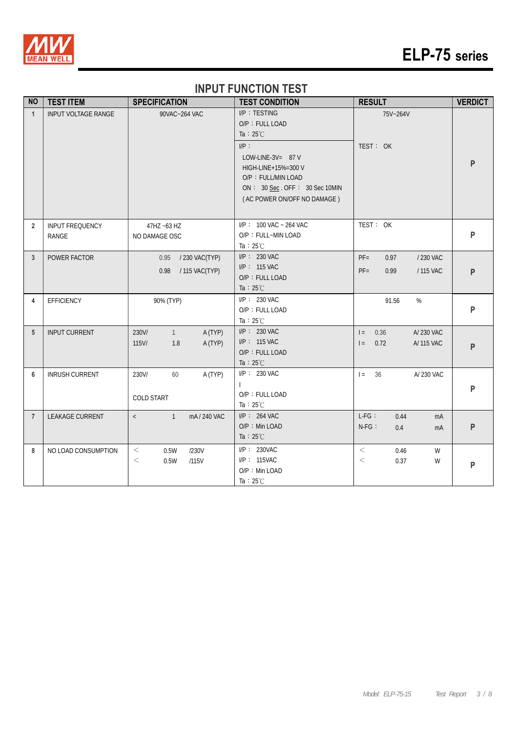

# **ELP-75 series**

#### **INPUT FUNCTION TEST**

| <b>NO</b>      | <b>TEST ITEM</b>           | <b>SPECIFICATION</b>                                    | <b>TEST CONDITION</b>                                                                                                                                                                              | <b>RESULT</b>                                              | <b>VERDICT</b> |
|----------------|----------------------------|---------------------------------------------------------|----------------------------------------------------------------------------------------------------------------------------------------------------------------------------------------------------|------------------------------------------------------------|----------------|
| $\mathbf{1}$   | <b>INPUT VOLTAGE RANGE</b> | 90VAC~264 VAC                                           | I/P: TESTING<br>O/P: FULL LOAD<br>Ta : $25^{\circ}$ C<br>$I/P$ :<br>LOW-LINE-3V= 87 V<br>HIGH-LINE+15%=300 V<br>O/P: FULL/MIN LOAD<br>ON: 30 Sec. OFF: 30 Sec 10MIN<br>(AC POWER ON/OFF NO DAMAGE) | 75V~264V<br>TEST: OK                                       | P              |
| $\overline{2}$ | INPUT FREQUENCY<br>RANGE   | 47HZ ~63 HZ<br>NO DAMAGE OSC                            | $I/P$ : 100 VAC ~ 264 VAC<br>O/P: FULL~MIN LOAD<br>Ta : $25^{\circ}$ C                                                                                                                             | TEST: OK                                                   | P              |
| 3              | POWER FACTOR               | / 230 VAC(TYP)<br>0.95<br>/ 115 VAC(TYP)<br>0.98        | I/P: 230 VAC<br>$I/P$ : 115 VAC<br>O/P: FULL LOAD<br>Ta : $25^{\circ}$ C                                                                                                                           | $PF =$<br>0.97<br>/ 230 VAC<br>$PF =$<br>0.99<br>/ 115 VAC | P              |
| 4              | EFFICIENCY                 | 90% (TYP)                                               | I/P: 230 VAC<br>O/P: FULL LOAD<br>Ta : $25^{\circ}$ C                                                                                                                                              | 91.56<br>%                                                 | P              |
| 5              | <b>INPUT CURRENT</b>       | 230V/<br>1<br>A (TYP)<br>A (TYP)<br>115V/<br>1.8        | $I/P$ : 230 VAC<br>$I/P$ : 115 VAC<br>O/P: FULL LOAD<br>Ta : $25^{\circ}$ C                                                                                                                        | A/230 VAC<br>0.36<br>$=$<br>0.72<br>A/ 115 VAC<br>$=$      | P              |
| 6              | <b>INRUSH CURRENT</b>      | 230V/<br>60<br>A (TYP)<br><b>COLD START</b>             | I/P: 230 VAC<br>O/P: FULL LOAD<br>Ta: $25^{\circ}$ C                                                                                                                                               | 36<br>A/ 230 VAC<br>$=$                                    | P              |
| $\overline{7}$ | <b>LEAKAGE CURRENT</b>     | $\langle$ and $\rangle$<br>$\overline{1}$<br>mA/240 VAC | $I/P$ : 264 VAC<br>O/P: Min LOAD<br>Ta : $25^{\circ}$ C                                                                                                                                            | $L-FG$ :<br>0.44<br>mA<br>$N-FG$ :<br>0.4<br>mA            | ${\sf P}$      |
| 8              | NO LOAD CONSUMPTION        | $\,<\,$<br>/230V<br>0.5W<br>0.5W<br>/115V<br>$\,<\,$    | I/P: 230VAC<br>I/P: 115VAC<br>O/P: Min LOAD<br>Ta : $25^{\circ}$ C                                                                                                                                 | $\,<$<br>0.46<br>W<br>$<\,$<br>0.37<br>W                   | ${\sf P}$      |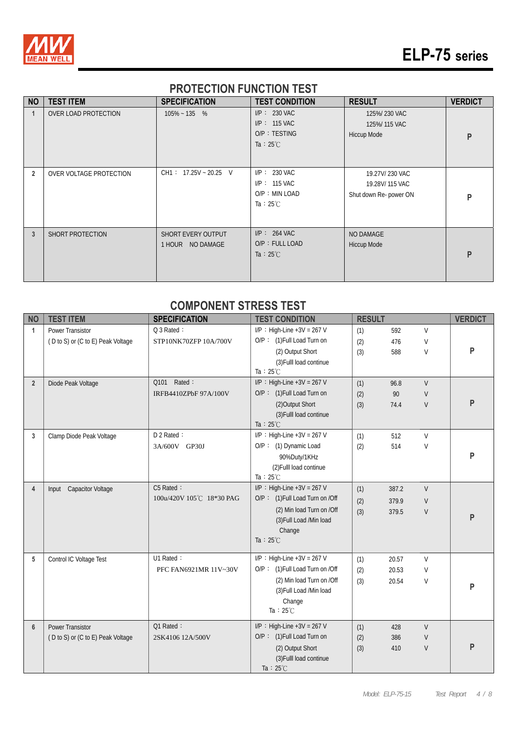

# **ELP-75 series**

#### **PROTECTION FUNCTION TEST**

| <b>NO</b>      | <b>TEST ITEM</b>        | <b>SPECIFICATION</b>                   | <b>TEST CONDITION</b>                                                   | <b>RESULT</b>                                              | <b>VERDICT</b> |
|----------------|-------------------------|----------------------------------------|-------------------------------------------------------------------------|------------------------------------------------------------|----------------|
|                | OVER LOAD PROTECTION    | $105\% - 135$ %                        | $I/P: 230$ VAC<br>$I/P: 115$ VAC<br>O/P: TESTING<br>Ta : $25^{\circ}$ C | 125%/230 VAC<br>125%/115 VAC<br><b>Hiccup Mode</b>         | P              |
| $\overline{2}$ | OVER VOLTAGE PROTECTION | $CH1: 17.25V - 20.25 V$                | $I/P: 230$ VAC<br>I/P: 115 VAC<br>O/P: MIN LOAD<br>Ta : $25^{\circ}$ C  | 19.27V/230 VAC<br>19.28V/115 VAC<br>Shut down Re- power ON | P              |
| $\mathbf{3}$   | SHORT PROTECTION        | SHORT EVERY OUTPUT<br>1 HOUR NO DAMAGE | $I/P$ : 264 VAC<br>O/P: FULL LOAD<br>Ta : $25^{\circ}$ C                | NO DAMAGE<br><b>Hiccup Mode</b>                            | P              |

### **COMPONENT STRESS TEST**

| <b>NO</b>      | <b>TEST ITEM</b>                  | <b>SPECIFICATION</b>     | <b>TEST CONDITION</b>           | <b>RESULT</b> |       |        | <b>VERDICT</b> |
|----------------|-----------------------------------|--------------------------|---------------------------------|---------------|-------|--------|----------------|
| $\mathbf{1}$   | Power Transistor                  | Q 3 Rated:               | $I/P$ : High-Line +3V = 267 V   | (1)           | 592   | $\vee$ |                |
|                | (D to S) or (C to E) Peak Voltage | STP10NK70ZFP 10A/700V    | O/P: (1) Full Load Turn on      | (2)           | 476   | $\vee$ |                |
|                |                                   |                          | (2) Output Short                | (3)           | 588   | V      | P              |
|                |                                   |                          | (3) Fulll load continue         |               |       |        |                |
|                |                                   |                          | Ta: $25^{\circ}$ C              |               |       |        |                |
| $\overline{2}$ | Diode Peak Voltage                | Q101 Rated:              | $I/P$ : High-Line +3V = 267 V   | (1)           | 96.8  | $\vee$ |                |
|                |                                   | IRFB4410ZPbF 97A/100V    | O/P: (1) Full Load Turn on      | (2)           | 90    | $\vee$ |                |
|                |                                   |                          | (2) Output Short                | (3)           | 74.4  | $\vee$ | P              |
|                |                                   |                          | (3) Fulll load continue         |               |       |        |                |
|                |                                   |                          | Ta : $25^{\circ}$ C             |               |       |        |                |
| 3              | Clamp Diode Peak Voltage          | D 2 Rated:               | $I/P$ : High-Line +3V = 267 V   | (1)           | 512   | $\vee$ |                |
|                |                                   | 3A/600V GP30J            | O/P: (1) Dynamic Load           | (2)           | 514   | V      |                |
|                |                                   |                          | 90%Duty/1KHz                    |               |       |        | P              |
|                |                                   |                          | (2) Fulll load continue         |               |       |        |                |
|                |                                   |                          | Ta : $25^{\circ}$ C             |               |       |        |                |
| 4              | Input Capacitor Voltage           | C5 Rated:                | $I/P$ : High-Line +3V = 267 V   | (1)           | 387.2 | $\vee$ |                |
|                |                                   | 100u/420V 105℃ 18*30 PAG | O/P: (1) Full Load Turn on /Off | (2)           | 379.9 | V      |                |
|                |                                   |                          | (2) Min load Turn on /Off       | (3)           | 379.5 | $\vee$ | P              |
|                |                                   |                          | (3) Full Load /Min load         |               |       |        |                |
|                |                                   |                          | Change                          |               |       |        |                |
|                |                                   |                          | Ta : $25^{\circ}$ C             |               |       |        |                |
| 5              | Control IC Voltage Test           | U1 Rated:                | $I/P$ : High-Line +3V = 267 V   | (1)           | 20.57 | V      |                |
|                |                                   | PFC FAN6921MR 11V~30V    | O/P: (1) Full Load Turn on /Off | (2)           | 20.53 | V      |                |
|                |                                   |                          | (2) Min load Turn on /Off       | (3)           | 20.54 | V      |                |
|                |                                   |                          | (3) Full Load /Min load         |               |       |        | P              |
|                |                                   |                          | Change                          |               |       |        |                |
|                |                                   |                          | Ta: $25^{\circ}$ C              |               |       |        |                |
| $6\phantom{1}$ | <b>Power Transistor</b>           | Q1 Rated:                | $I/P$ : High-Line +3V = 267 V   | (1)           | 428   | $\vee$ |                |
|                | (D to S) or (C to E) Peak Voltage | 2SK4106 12A/500V         | O/P: (1) Full Load Turn on      | (2)           | 386   | V      |                |
|                |                                   |                          | (2) Output Short                | (3)           | 410   | V      | P              |
|                |                                   |                          | (3) Fulll load continue         |               |       |        |                |
|                |                                   |                          | Ta: $25^{\circ}$ C              |               |       |        |                |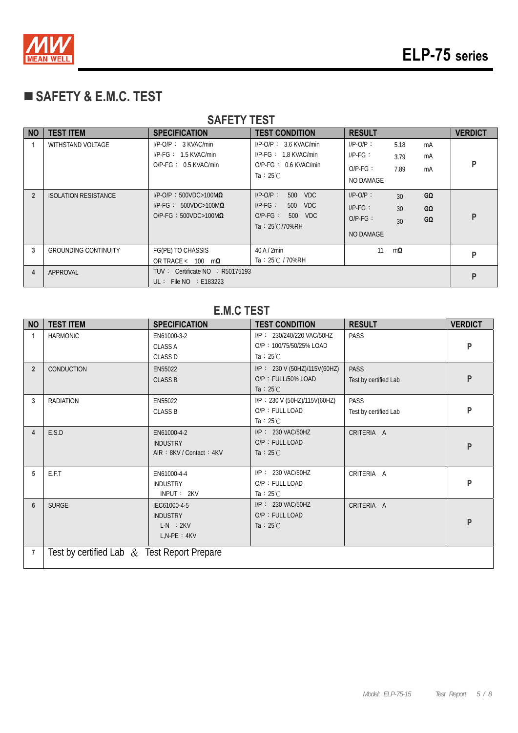

## **SAFETY & E.M.C. TEST**

| <b>SAFETY TEST</b> |                             |                                                                                                |                                                                                                      |                                                     |                                          |                |                |  |  |  |  |
|--------------------|-----------------------------|------------------------------------------------------------------------------------------------|------------------------------------------------------------------------------------------------------|-----------------------------------------------------|------------------------------------------|----------------|----------------|--|--|--|--|
| <b>NO</b>          | <b>TEST ITEM</b>            | <b>SPECIFICATION</b>                                                                           | <b>TEST CONDITION</b>                                                                                | <b>RESULT</b>                                       |                                          |                | <b>VERDICT</b> |  |  |  |  |
|                    | WITHSTAND VOLTAGE           | $I/P$ -O/P : 3 KVAC/min<br>$I/P-FG: 1.5$ KVAC/min<br>$O/P-FG: 0.5$ KVAC/min                    | $I/P$ -O/P : 3.6 KVAC/min<br>$I/P-FG: 1.8 KVAC/min$<br>$O/P-FG: 0.6$ KVAC/min<br>Ta : $25^{\circ}$ C | $I/P$ -O/P:<br>$IP-FG$ :<br>$O/P-FG$ :<br>NO DAMAGE | 5.18<br>3.79<br>7.89                     | mA<br>mA<br>mA | P              |  |  |  |  |
| $\overline{2}$     | <b>ISOLATION RESISTANCE</b> | $I/P$ -O/P: 500VDC>100M $\Omega$<br>$I/P-FG: 500VDC>100M\Omega$<br>$O/P-FG: 500VDC>100M\Omega$ | $I/P$ - $O/P$ :<br>500 VDC<br>$I/P-FG$ :<br>500 VDC<br>$O/P-FG$ :<br>500 VDC<br>Ta: 25℃/70%RH        | $I/P-O/P$ :<br>$IP-FG$ :<br>$O/P-FG$ :<br>NO DAMAGE | 30 <sup>°</sup><br>30 <sup>2</sup><br>30 | GΩ<br>GΩ<br>GΩ | P              |  |  |  |  |
| 3                  | <b>GROUNDING CONTINUITY</b> | FG(PE) TO CHASSIS<br>OR TRACE < $100 \text{ m}\Omega$                                          | $40$ A $/$ 2min<br>Ta: 25℃ / 70%RH                                                                   | 11                                                  | $m\Omega$                                |                | P              |  |  |  |  |
| 4                  | APPROVAL                    | TUV: Certificate $NO$ : R50175193<br>$UL:$ File NO $:$ E183223                                 |                                                                                                      |                                                     |                                          |                |                |  |  |  |  |

#### **E.M.C TEST**

| <b>NO</b>      | <b>TEST ITEM</b>                              | <b>SPECIFICATION</b>                                                | <b>TEST CONDITION</b>                                                       | <b>RESULT</b>                        | <b>VERDICT</b> |
|----------------|-----------------------------------------------|---------------------------------------------------------------------|-----------------------------------------------------------------------------|--------------------------------------|----------------|
| $\mathbf{1}$   | <b>HARMONIC</b>                               | EN61000-3-2<br><b>CLASS A</b><br><b>CLASS D</b>                     | I/P: 230/240/220 VAC/50HZ<br>O/P: 100/75/50/25% LOAD<br>Ta : $25^{\circ}$ C | PASS                                 | P              |
| $\overline{2}$ | <b>CONDUCTION</b>                             | EN55022<br><b>CLASS B</b>                                           | I/P: 230 V (50HZ)/115V(60HZ)<br>O/P: FULL/50% LOAD<br>Ta : $25^{\circ}$ C   | <b>PASS</b><br>Test by certified Lab | P              |
| 3              | <b>RADIATION</b>                              | EN55022<br><b>CLASS B</b>                                           | I/P: 230 V (50HZ)/115V(60HZ)<br>O/P: FULL LOAD<br>Ta : $25^{\circ}$ C       | <b>PASS</b><br>Test by certified Lab | P              |
| $\overline{4}$ | E.S.D                                         | EN61000-4-2<br><b>INDUSTRY</b><br>AIR: 8KV / Contact: 4KV           | I/P: 230 VAC/50HZ<br>O/P: FULL LOAD<br>Ta : $25^{\circ}$ C                  | CRITERIA A                           | P              |
| 5              | E.F.T                                         | EN61000-4-4<br><b>INDUSTRY</b><br>INPUT: 2KV                        | I/P: 230 VAC/50HZ<br>O/P: FULL LOAD<br>Ta : $25^{\circ}$ C                  | CRITERIA A                           | P              |
| $6\phantom{a}$ | <b>SURGE</b>                                  | IEC61000-4-5<br><b>INDUSTRY</b><br>$L-N$ : $2KV$<br>$L, N-PE : 4KV$ | I/P: 230 VAC/50HZ<br>O/P: FULL LOAD<br>Ta : $25^{\circ}$ C                  | CRITERIA A                           | P              |
| $\overline{7}$ | Test by certified Lab $&$ Test Report Prepare |                                                                     |                                                                             |                                      |                |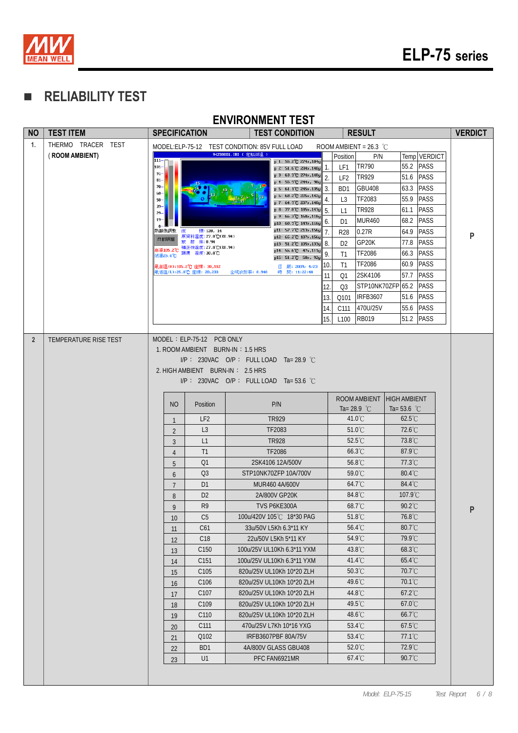

### **RELIABILITY TEST**

|           |                    |                      |                                                     |                                                                      | <b>ENVIRONMENT TEST</b>                                                           |     |                  |                          |                                                    |              |                |
|-----------|--------------------|----------------------|-----------------------------------------------------|----------------------------------------------------------------------|-----------------------------------------------------------------------------------|-----|------------------|--------------------------|----------------------------------------------------|--------------|----------------|
| <b>NO</b> | <b>TEST ITEM</b>   | <b>SPECIFICATION</b> |                                                     |                                                                      | <b>TEST CONDITION</b>                                                             |     |                  | <b>RESULT</b>            |                                                    |              | <b>VERDICT</b> |
| 1.        | THERMO TRACER TEST |                      |                                                     | MODEL: ELP-75-12 TEST CONDITION: 85V FULL LOAD                       |                                                                                   |     |                  | ROOM AMBIENT = $26.3$ °C |                                                    |              |                |
|           | (ROOM AMBIENT)     | $111 -$              |                                                     | 94230001.IRI (定點測溫)                                                  | p 1: 55.2°C 274x, 104y                                                            |     | Position         | P/N                      |                                                    | Temp VERDICT |                |
|           |                    | 101-<br>$91-$        |                                                     |                                                                      | p 2: 51.6 °C 284x, 140y                                                           | 1.  | LF1              | <b>TR790</b>             | 55.2                                               | <b>PASS</b>  |                |
|           |                    | $81 -$               |                                                     |                                                                      | p 3: 63.3 °C 274x, 140y<br>p 4: 55.9°C 244x, 98y                                  | 2.  | LF <sub>2</sub>  | <b>TR929</b>             | 51.6                                               | <b>PASS</b>  |                |
|           |                    | $70-$<br>60-         |                                                     |                                                                      | p 5: 61.1 °C 245x, 135y                                                           | 3.  | B <sub>D</sub> 1 | <b>GBU408</b>            | 63.3                                               | <b>PASS</b>  |                |
|           |                    | 50<br>$39-$          |                                                     |                                                                      | p 6: 68.2°C 225x, 142y<br>p 7: 64.9 C 207x, 140y                                  | 4.  | L3               | TF2083                   | 55.9                                               | <b>PASS</b>  |                |
|           |                    | 29                   |                                                     |                                                                      | p 8: 77.8 °C 185x, 143y<br>p 9: 66.3°C 168x, 118y                                 | 5.  | L1               | <b>TR928</b>             | 61.1                                               | <b>PASS</b>  |                |
|           |                    | 19                   |                                                     |                                                                      | p10: 60.9 C 149x, 116y                                                            | 6.  | D <sub>1</sub>   | <b>MUR460</b>            | 68.2                                               | <b>PASS</b>  |                |
|           |                    | 的颞端胸壁<br>喹<br>白重加周整  | 標:128, 14<br>原資料溫度: 27.0℃(E0.94)                    |                                                                      | p11: 57.7°C 213x, 156y<br>p12: 65.2 °C 187x, 156y                                 | 7.  | <b>R28</b>       | 0.27R                    | 64.9                                               | <b>PASS</b>  | P              |
|           |                    | 高温105.2℃             | 放射率:0.94<br>補正後溫度: 27.0℃(E0.94)                     |                                                                      | p13: 51.2°C 105x, 133y 8.<br>p14: 55.6°C 47x, 111y                                |     | D <sub>2</sub>   | GP <sub>20</sub> K       | 77.8                                               | <b>PASS</b>  |                |
|           |                    | 氏温25.0℃              | 環境 溫度:30.8℃                                         |                                                                      | p15: 51.2 °C 50x, 92y                                                             | 9.  | T1               | <b>TF2086</b>            | 66.3                                               | <b>PASS</b>  |                |
|           |                    |                      | 最高溫(H):105.2℃ 座標: 30,112<br>最低溫(L):25.0℃ 座標: 20,233 | 全域放射率: 0.940                                                         | 日 期: 2009/ 4/23<br>時間: 11:22:40                                                   | 10. | T1               | <b>TF2086</b>            | 60.9                                               | <b>PASS</b>  |                |
|           |                    |                      |                                                     |                                                                      |                                                                                   | 11  | Q1               | 2SK4106                  | 57.7                                               | <b>PASS</b>  |                |
|           |                    |                      |                                                     |                                                                      |                                                                                   | 12  | O <sub>3</sub>   |                          | STP10NK70ZFP 65.2                                  | <b>PASS</b>  |                |
|           |                    |                      |                                                     |                                                                      |                                                                                   | 13  | Q101             | <b>IRFB3607</b>          | 51.6                                               | <b>PASS</b>  |                |
|           |                    |                      |                                                     |                                                                      |                                                                                   | 14. | C <sub>111</sub> | 470U/25V                 | 55.6                                               | <b>PASS</b>  |                |
|           |                    |                      |                                                     |                                                                      |                                                                                   | 15. | L <sub>100</sub> | <b>RB019</b>             | 51.2                                               | <b>PASS</b>  |                |
|           |                    |                      |                                                     | 1. ROOM AMBIENT BURN-IN: 1.5 HRS<br>2. HIGH AMBIENT BURN-IN: 2.5 HRS | $IP: 230VAC$ O/P: FULL LOAD Ta= 28.9 °C<br>$IP: 230VAC$ O/P: FULL LOAD Ta=53.6 °C |     |                  |                          |                                                    |              |                |
|           |                    | NO                   | Position                                            |                                                                      | P/N                                                                               |     |                  | Ta= 28.9 °C              | ROOM AMBIENT HIGH AMBIENT<br>Ta= 53.6 $^{\circ}$ C |              |                |
|           |                    |                      | LF <sub>2</sub>                                     |                                                                      | <b>TR929</b>                                                                      |     |                  | $41.0^{\circ}$ C         | $62.5^{\circ}$ C                                   |              |                |
|           |                    | $\overline{2}$       | L3                                                  |                                                                      | TF2083                                                                            |     |                  | $51.0^{\circ}$ C         | 72.6°C                                             |              |                |
|           |                    | $\overline{3}$       | L1                                                  |                                                                      | <b>TR928</b>                                                                      |     |                  | $52.5^{\circ}$ C         | 73.8°C                                             |              |                |
|           |                    | $\overline{4}$       | T1                                                  |                                                                      | TF2086                                                                            |     |                  | $66.3^{\circ}$ C         | $87.9^{\circ}$ C                                   |              |                |
|           |                    | 5                    | Q1                                                  |                                                                      | 2SK4106 12A/500V                                                                  |     |                  | 56.8°C                   | 77.3°C                                             |              |                |
|           |                    | 6                    | Q <sub>3</sub>                                      |                                                                      | STP10NK70ZFP10A/700V                                                              |     |                  | 59.0°C                   | 80.4°C                                             |              |                |
|           |                    | $\overline{7}$       | D <sub>1</sub>                                      |                                                                      | MUR460 4A/600V                                                                    |     |                  | $64.7^{\circ}$ C         | 84.4°C                                             |              |                |
|           |                    | 8                    | D <sub>2</sub>                                      |                                                                      | 2A/800V GP20K                                                                     |     |                  | 84.8°C                   | 107.9°C                                            |              |                |
|           |                    | 9                    | R9                                                  |                                                                      | TVS P6KE300A                                                                      |     |                  | $68.7^{\circ}$ C         | $90.2^\circ C$                                     |              | P              |
|           |                    | 10                   | C <sub>5</sub>                                      |                                                                      | 100u/420V 105℃ 18*30 PAG                                                          |     |                  | $51.8^{\circ}$ C         | $76.8^{\circ}$ C                                   |              |                |
|           |                    | 11                   | C61                                                 |                                                                      | 33u/50V L5Kh 6.3*11 KY                                                            |     |                  | $56.4^{\circ}$ C         | 80.7°C                                             |              |                |
|           |                    | 12                   | C18                                                 |                                                                      | 22u/50V L5Kh 5*11 KY                                                              |     |                  | 54.9°C                   | 79.9°C                                             |              |                |
|           |                    | 13                   | C150                                                |                                                                      | 100u/25V UL10Kh 6.3*11 YXM                                                        |     |                  | 43.8°C                   | 68.3°C                                             |              |                |
|           |                    | 14                   | C151                                                |                                                                      | 100u/25V UL10Kh 6.3*11 YXM                                                        |     |                  | 41.4°C                   | 65.4°C                                             |              |                |
|           |                    | 15                   | C <sub>105</sub>                                    |                                                                      | 820u/25V UL10Kh 10*20 ZLH                                                         |     |                  | 50.3°C                   | 70.7°C                                             |              |                |
|           |                    | 16                   | C106                                                |                                                                      | 820u/25V UL10Kh 10*20 ZLH                                                         |     |                  | 49.6°C                   | 70.1°C                                             |              |                |
|           |                    | 17                   | C <sub>107</sub>                                    |                                                                      | 820u/25V UL10Kh 10*20 ZLH                                                         |     |                  | 44.8°C                   | 67.2°C                                             |              |                |
|           |                    | 18                   | C109                                                |                                                                      | 820u/25V UL10Kh 10*20 ZLH                                                         |     |                  | 49.5°C                   | 67.0°C                                             |              |                |
|           |                    | 19                   | C110                                                |                                                                      | 820u/25V UL10Kh 10*20 ZLH                                                         |     |                  | 48.6°C                   | 66.7°C                                             |              |                |
|           |                    | 20                   | C111                                                |                                                                      | 470u/25V L7Kh 10*16 YXG                                                           |     |                  | 53.4°C                   | 67.5°C                                             |              |                |
|           |                    | 21                   | Q102                                                |                                                                      | IRFB3607PBF 80A/75V                                                               |     |                  | 53.4°C                   | 77.1°C<br>72.9°C                                   |              |                |
|           |                    | 22                   | BD1<br>U1                                           |                                                                      | 4A/800V GLASS GBU408<br>PFC FAN6921MR                                             |     |                  | 52.0°C<br>67.4°C         | 90.7°C                                             |              |                |
|           |                    | 23                   |                                                     |                                                                      |                                                                                   |     |                  |                          |                                                    |              |                |
|           |                    |                      |                                                     |                                                                      |                                                                                   |     |                  |                          |                                                    |              |                |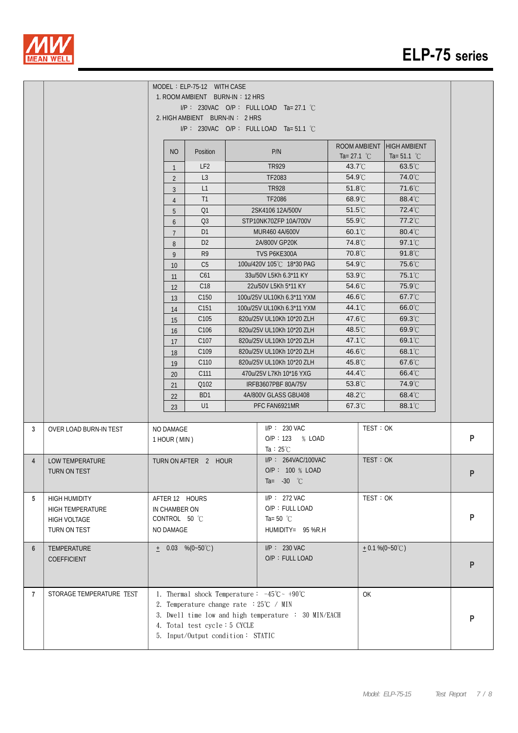

|                |                          |                | MODEL : ELP-75-12 WITH CASE<br>1. ROOM AMBIENT BURN-IN: 12 HRS<br>2. HIGH AMBIENT BURN-IN: 2 HRS | $I/P$ : 230VAC O/P: FULLLOAD Ta= 27.1 °C<br>$I/P$ : 230VAC O/P: FULLLOAD Ta=51.1 °C |                       |              |                                              |   |
|----------------|--------------------------|----------------|--------------------------------------------------------------------------------------------------|-------------------------------------------------------------------------------------|-----------------------|--------------|----------------------------------------------|---|
|                |                          | N <sub>O</sub> | Position                                                                                         | P/N                                                                                 | Ta= 27.1 $^{\circ}$ C | ROOM AMBIENT | <b>HIGH AMBIENT</b><br>Ta= 51.1 $^{\circ}$ C |   |
|                |                          | $\mathbf{1}$   | LF <sub>2</sub>                                                                                  | TR929                                                                               | $43.7^{\circ}$ C      |              | $63.5^{\circ}$ C                             |   |
|                |                          | 2              | L3                                                                                               | TF2083                                                                              | $54.9^{\circ}$ C      |              | 74.0°C                                       |   |
|                |                          | 3              | L1                                                                                               | <b>TR928</b>                                                                        | $51.8^{\circ}$ C      |              | 71.6°C                                       |   |
|                |                          | 4              | T1                                                                                               | TF2086                                                                              | $68.9^{\circ}$ C      |              | $88.4^{\circ}$ C                             |   |
|                |                          | 5              | Q1                                                                                               | 2SK4106 12A/500V                                                                    | $51.5^{\circ}$ C      |              | 72.4°C                                       |   |
|                |                          | 6              | Q <sub>3</sub>                                                                                   | STP10NK70ZFP 10A/700V                                                               | 55.9°C                |              | 77.2°C                                       |   |
|                |                          | $\overline{7}$ | D <sub>1</sub>                                                                                   | MUR460 4A/600V                                                                      | $60.1^{\circ}$ C      |              | $80.4^{\circ}$ C                             |   |
|                |                          | 8              | D <sub>2</sub>                                                                                   | 2A/800V GP20K                                                                       | 74.8°C                |              | 97.1°C                                       |   |
|                |                          | 9              | R <sub>9</sub>                                                                                   | TVS P6KE300A                                                                        | 70.8°C                |              | $91.8^{\circ}$                               |   |
|                |                          | 10             | C <sub>5</sub>                                                                                   | 100u/420V 105℃ 18*30 PAG                                                            | $54.9^{\circ}$ C      |              | 75.6℃                                        |   |
|                |                          | 11             | C61                                                                                              | 33u/50V L5Kh 6.3*11 KY                                                              | 53.9°C                |              | 75.1°C                                       |   |
|                |                          | 12             | C <sub>18</sub>                                                                                  | 22u/50V L5Kh 5*11 KY                                                                | 54.6°C                |              | 75.9°C                                       |   |
|                |                          | 13             | C <sub>150</sub>                                                                                 | 100u/25V UL10Kh 6.3*11 YXM                                                          | $46.6^{\circ}$ C      |              | 67.7°C                                       |   |
|                |                          | 14             | C <sub>151</sub>                                                                                 | 100u/25V UL10Kh 6.3*11 YXM                                                          | 44.1°C                |              | 66.0°C                                       |   |
|                |                          | 15             | C105                                                                                             | 820u/25V UL10Kh 10*20 ZLH                                                           | 47.6°C                |              | 69.3°C                                       |   |
|                |                          | 16             | C106                                                                                             | 820u/25V UL10Kh 10*20 ZLH                                                           | $48.5^{\circ}$ C      |              | 69.9°C                                       |   |
|                |                          | 17             | C <sub>107</sub>                                                                                 | 820u/25V UL10Kh 10*20 ZLH                                                           | $47.1^{\circ}$        |              | 69.1°C                                       |   |
|                |                          | 18             | C109                                                                                             | 820u/25V UL10Kh 10*20 ZLH                                                           | 46.6°C                |              | 68.1°C                                       |   |
|                |                          | 19             | C110                                                                                             | 820u/25V UL10Kh 10*20 ZLH                                                           | $45.8^{\circ}$ C      |              | 67.6°C                                       |   |
|                |                          | 20             | C111                                                                                             | 470u/25V L7Kh 10*16 YXG                                                             | 44.4°C                |              | $66.4^{\circ}$ C                             |   |
|                |                          | 21             | Q102                                                                                             | IRFB3607PBF 80A/75V                                                                 | 53.8°C                |              | 74.9°C                                       |   |
|                |                          | 22             | BD1                                                                                              | 4A/800V GLASS GBU408                                                                | 48.2°C                |              | $68.4^{\circ}$ C                             |   |
|                |                          | 23             | U1                                                                                               | PFC FAN6921MR                                                                       | 67.3°C                |              | 88.1°C                                       |   |
| 3              | OVER LOAD BURN-IN TEST   | NO DAMAGE      |                                                                                                  | $I/P: 230$ VAC                                                                      |                       | TEST: OK     |                                              |   |
|                |                          | 1 HOUR (MIN)   |                                                                                                  | O/P: 123 % LOAD                                                                     |                       |              |                                              | P |
|                |                          |                |                                                                                                  | Ta : $25^{\circ}$ C                                                                 |                       |              |                                              |   |
| $\overline{4}$ | <b>LOW TEMPERATURE</b>   |                | TURN ON AFTER 2 HOUR                                                                             | I/P: 264VAC/100VAC                                                                  |                       | TEST: OK     |                                              |   |
|                | TURN ON TEST             |                |                                                                                                  | O/P: 100 % LOAD                                                                     |                       |              |                                              | P |
|                |                          |                |                                                                                                  | Ta= $-30$ °C                                                                        |                       |              |                                              |   |
| 5              | <b>HIGH HUMIDITY</b>     | AFTER 12 HOURS |                                                                                                  | $I/P$ : 272 VAC                                                                     |                       | TEST: OK     |                                              |   |
|                | <b>HIGH TEMPERATURE</b>  | IN CHAMBER ON  |                                                                                                  | O/P: FULL LOAD                                                                      |                       |              |                                              |   |
|                | HIGH VOLTAGE             | CONTROL 50 °C  |                                                                                                  | Ta= 50 $^{\circ}$ C                                                                 |                       |              |                                              | P |
|                | TURN ON TEST             | NO DAMAGE      |                                                                                                  | HUMIDITY= 95 %R.H                                                                   |                       |              |                                              |   |
| 6              | TEMPERATURE              |                | $\pm$ 0.03 %(0~50°C)                                                                             | $I/P$ : 230 VAC                                                                     |                       |              | $+$ 0.1 %(0~50°C)                            |   |
|                | COEFFICIENT              |                |                                                                                                  | O/P: FULL LOAD                                                                      |                       |              |                                              |   |
|                |                          |                |                                                                                                  |                                                                                     |                       |              |                                              | P |
|                |                          |                |                                                                                                  |                                                                                     |                       |              |                                              |   |
| 7              | STORAGE TEMPERATURE TEST |                |                                                                                                  | 1. Thermal shock Temperature: $-45^{\circ}\text{C} \sim +90^{\circ}\text{C}$        |                       | OK           |                                              |   |
|                |                          |                | 2. Temperature change rate $:25^{\circ}\text{C}$ / MIN                                           |                                                                                     |                       |              |                                              |   |
|                |                          |                |                                                                                                  | 3. Dwell time low and high temperature : 30 MIN/EACH                                |                       |              |                                              | P |
|                |                          |                | 4. Total test cycle: 5 CYCLE                                                                     |                                                                                     |                       |              |                                              |   |
|                |                          |                | 5. Input/Output condition: STATIC                                                                |                                                                                     |                       |              |                                              |   |